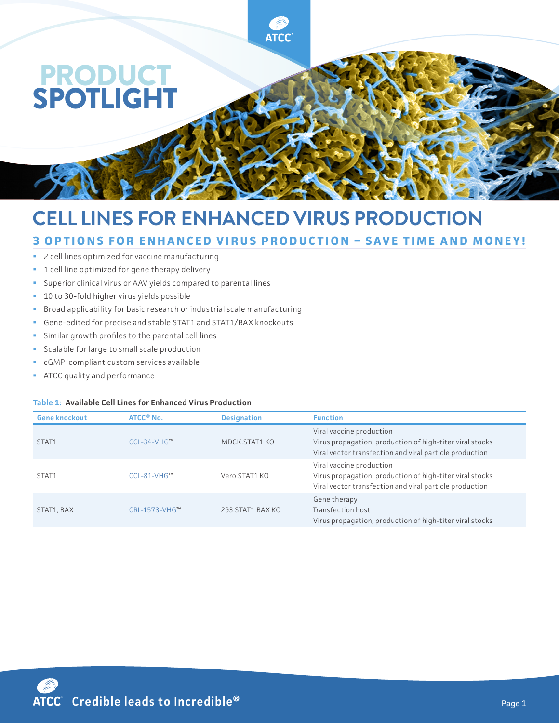

# **CELL LINES FOR ENHANCED VIRUS PRODUCTION**

## **3 OPTIONS FOR ENHANCED VIRUS PRODUCTION – SAVE TIME AND MONEY!**

**ATCC** 

- **2** cell lines optimized for vaccine manufacturing
- **1** cell line optimized for gene therapy delivery
- Superior clinical virus or AAV yields compared to parental lines
- <sup>1</sup> 10 to 30-fold higher virus yields possible
- **Broad applicability for basic research or industrial scale manufacturing**
- Gene-edited for precise and stable STAT1 and STAT1/BAX knockouts
- Similar growth profiles to the parental cell lines
- Scalable for large to small scale production
- cGMP compliant custom services available
- **ATCC** quality and performance

#### **Table 1: Available Cell Lines for Enhanced Virus Production**

| <b>Gene knockout</b> | ATCC <sup>®</sup> No. | <b>Designation</b> | <b>Function</b>                                                                                                                                 |
|----------------------|-----------------------|--------------------|-------------------------------------------------------------------------------------------------------------------------------------------------|
| STAT1                | CCL-34-VHG™           | MDCK.STAT1 KO      | Viral vaccine production<br>Virus propagation; production of high-titer viral stocks<br>Viral vector transfection and viral particle production |
| STAT1                | CCL-81-VHG™           | Vero.STAT1KO       | Viral vaccine production<br>Virus propagation; production of high-titer viral stocks<br>Viral vector transfection and viral particle production |
| STAT1, BAX           | CRL-1573-VHG™         | 293.STAT1 BAX KO   | Gene therapy<br>Transfection host<br>Virus propagation; production of high-titer viral stocks                                                   |